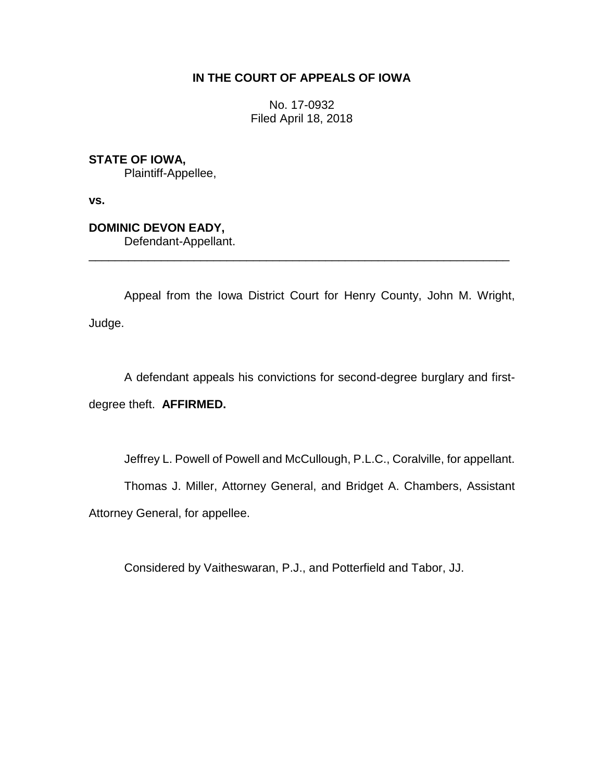## **IN THE COURT OF APPEALS OF IOWA**

No. 17-0932 Filed April 18, 2018

**STATE OF IOWA,**

Plaintiff-Appellee,

**vs.**

**DOMINIC DEVON EADY,** Defendant-Appellant.

Appeal from the Iowa District Court for Henry County, John M. Wright, Judge.

\_\_\_\_\_\_\_\_\_\_\_\_\_\_\_\_\_\_\_\_\_\_\_\_\_\_\_\_\_\_\_\_\_\_\_\_\_\_\_\_\_\_\_\_\_\_\_\_\_\_\_\_\_\_\_\_\_\_\_\_\_\_\_\_

A defendant appeals his convictions for second-degree burglary and first-

degree theft. **AFFIRMED.**

Jeffrey L. Powell of Powell and McCullough, P.L.C., Coralville, for appellant.

Thomas J. Miller, Attorney General, and Bridget A. Chambers, Assistant

Attorney General, for appellee.

Considered by Vaitheswaran, P.J., and Potterfield and Tabor, JJ.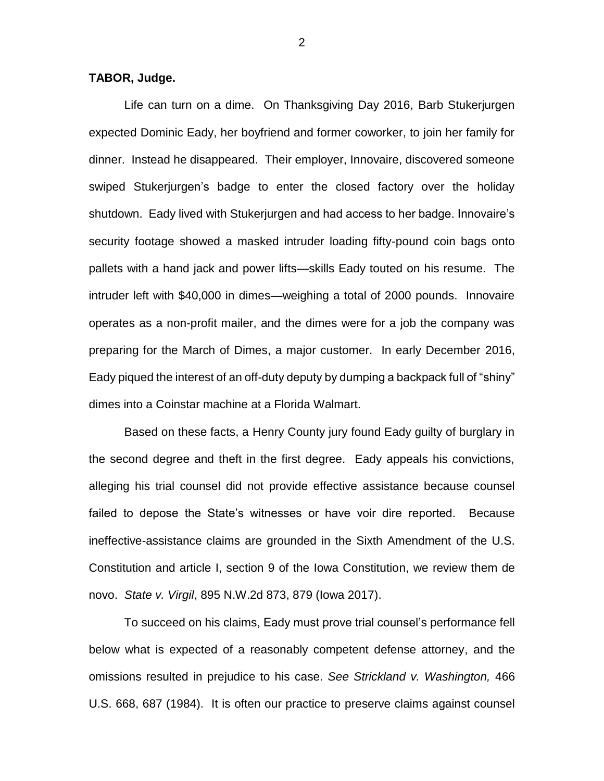## **TABOR, Judge.**

Life can turn on a dime. On Thanksgiving Day 2016, Barb Stukerjurgen expected Dominic Eady, her boyfriend and former coworker, to join her family for dinner. Instead he disappeared. Their employer, Innovaire, discovered someone swiped Stukerjurgen's badge to enter the closed factory over the holiday shutdown. Eady lived with Stukerjurgen and had access to her badge. Innovaire's security footage showed a masked intruder loading fifty-pound coin bags onto pallets with a hand jack and power lifts—skills Eady touted on his resume. The intruder left with \$40,000 in dimes—weighing a total of 2000 pounds. Innovaire operates as a non-profit mailer, and the dimes were for a job the company was preparing for the March of Dimes, a major customer. In early December 2016, Eady piqued the interest of an off-duty deputy by dumping a backpack full of "shiny" dimes into a Coinstar machine at a Florida Walmart.

Based on these facts, a Henry County jury found Eady guilty of burglary in the second degree and theft in the first degree. Eady appeals his convictions, alleging his trial counsel did not provide effective assistance because counsel failed to depose the State's witnesses or have voir dire reported. Because ineffective-assistance claims are grounded in the Sixth Amendment of the U.S. Constitution and article I, section 9 of the Iowa Constitution, we review them de novo. *State v. Virgil*, 895 N.W.2d 873, 879 (Iowa 2017).

To succeed on his claims, Eady must prove trial counsel's performance fell below what is expected of a reasonably competent defense attorney, and the omissions resulted in prejudice to his case. *See Strickland v. Washington,* 466 U.S. 668, 687 (1984). It is often our practice to preserve claims against counsel